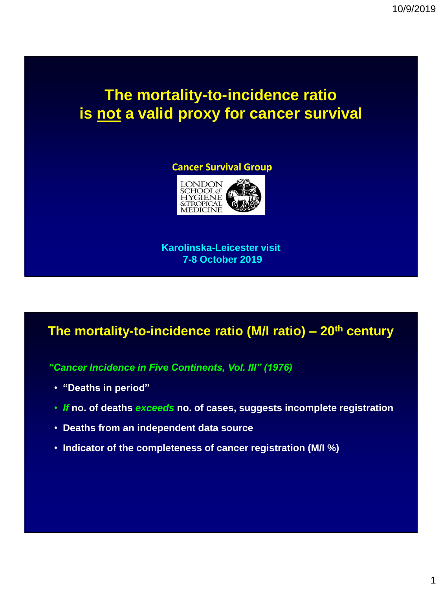# **The mortality-to-incidence ratio is not a valid proxy for cancer survival**

#### **Cancer Survival Group**



**Karolinska-Leicester visit 7-8 October 2019**

## **The mortality-to-incidence ratio (M/I ratio) – 20th century**

*"Cancer Incidence in Five Continents, Vol. III" (1976)*

- **"Deaths in period"**
- *If* **no. of deaths** *exceeds* **no. of cases, suggests incomplete registration**
- **Deaths from an independent data source**
- **Indicator of the completeness of cancer registration (M/I %)**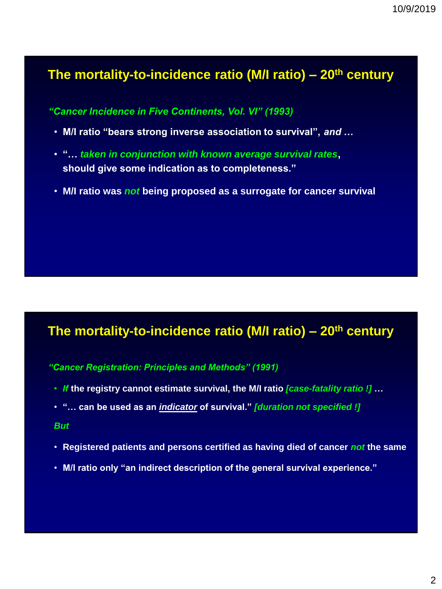### **The mortality-to-incidence ratio (M/I ratio) – 20th century**

*"Cancer Incidence in Five Continents, Vol. VI" (1993)*

- **M/I ratio "bears strong inverse association to survival",** *and …*
- **"…** *taken in conjunction with known average survival rates***, should give some indication as to completeness."**
- **M/I ratio was** *not* **being proposed as a surrogate for cancer survival**

## **The mortality-to-incidence ratio (M/I ratio) – 20th century**

#### *"Cancer Registration: Principles and Methods" (1991)*

- *If* **the registry cannot estimate survival, the M/I ratio** *[case-fatality ratio !]* **…**
- **"… can be used as an** *indicator* **of survival."** *[duration not specified !]*

#### *But*

- **Registered patients and persons certified as having died of cancer** *not* **the same**
- **M/I ratio only "an indirect description of the general survival experience."**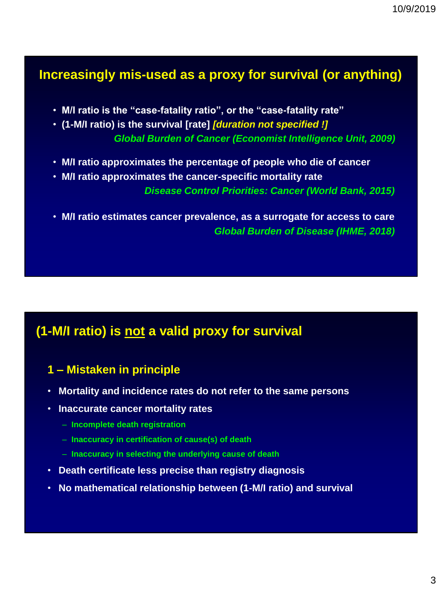## **Increasingly mis-used as a proxy for survival (or anything)**

- **M/I ratio is the "case-fatality ratio", or the "case-fatality rate"**
- **(1-M/I ratio) is the survival [rate]** *[duration not specified !] Global Burden of Cancer (Economist Intelligence Unit, 2009)*
- **M/I ratio approximates the percentage of people who die of cancer**
- **M/I ratio approximates the cancer-specific mortality rate** *Disease Control Priorities: Cancer (World Bank, 2015)*
- **M/I ratio estimates cancer prevalence, as a surrogate for access to care** *Global Burden of Disease (IHME, 2018)*

## **(1-M/I ratio) is not a valid proxy for survival**

#### **1 – Mistaken in principle**

- **Mortality and incidence rates do not refer to the same persons**
- **Inaccurate cancer mortality rates**
	- **Incomplete death registration**
	- **Inaccuracy in certification of cause(s) of death**
	- **Inaccuracy in selecting the underlying cause of death**
- **Death certificate less precise than registry diagnosis**
- **No mathematical relationship between (1-M/I ratio) and survival**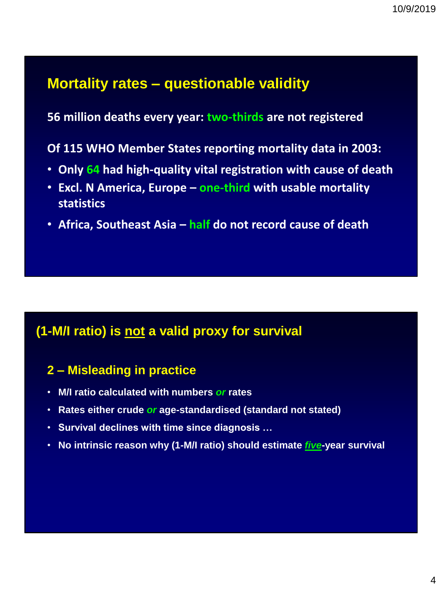## **Mortality rates – questionable validity**

**56 million deaths every year: two-thirds are not registered**

**Of 115 WHO Member States reporting mortality data in 2003:**

- **Only 64 had high-quality vital registration with cause of death**
- **Excl. N America, Europe – one-third with usable mortality statistics**
- **Africa, Southeast Asia – half do not record cause of death**

## **(1-M/I ratio) is not a valid proxy for survival**

### **2 – Misleading in practice**

- **M/I ratio calculated with numbers** *or* **rates**
- **Rates either crude** *or* **age-standardised (standard not stated)**
- **Survival declines with time since diagnosis …**
- **No intrinsic reason why (1-M/I ratio) should estimate** *five***-year survival**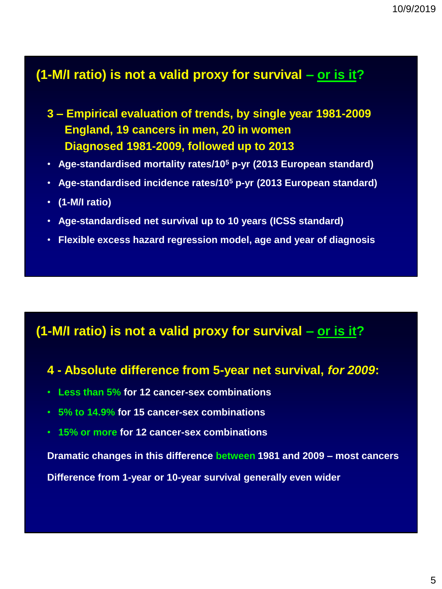## **(1-M/I ratio) is not a valid proxy for survival – or is it?**

- **3 – Empirical evaluation of trends, by single year 1981-2009 England, 19 cancers in men, 20 in women Diagnosed 1981-2009, followed up to 2013**
- **Age-standardised mortality rates/10<sup>5</sup> p-yr (2013 European standard)**
- **Age-standardised incidence rates/10<sup>5</sup> p-yr (2013 European standard)**
- **(1-M/I ratio)**
- **Age-standardised net survival up to 10 years (ICSS standard)**
- **Flexible excess hazard regression model, age and year of diagnosis**

#### **(1-M/I ratio) is not a valid proxy for survival – or is it?**

#### **4 - Absolute difference from 5-year net survival,** *for 2009***:**

- **Less than 5% for 12 cancer-sex combinations**
- **5% to 14.9% for 15 cancer-sex combinations**
- **15% or more for 12 cancer-sex combinations**

**Dramatic changes in this difference between 1981 and 2009 – most cancers**

**Difference from 1-year or 10-year survival generally even wider**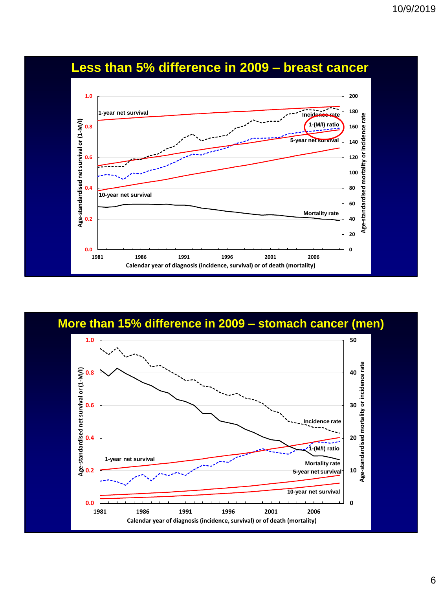

## **Less than 5% difference in 2009 – breast cancer**

**More than 15% difference in 2009 – stomach cancer (men)**

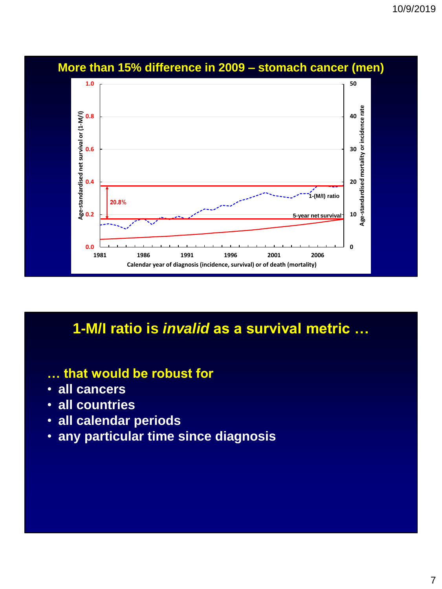

## **More than 15% difference in 2009 – stomach cancer (men)**

## **1-M/I ratio is** *invalid* **as a survival metric …**

- **… that would be robust for**
- **all cancers**
- **all countries**
- **all calendar periods**
- **any particular time since diagnosis**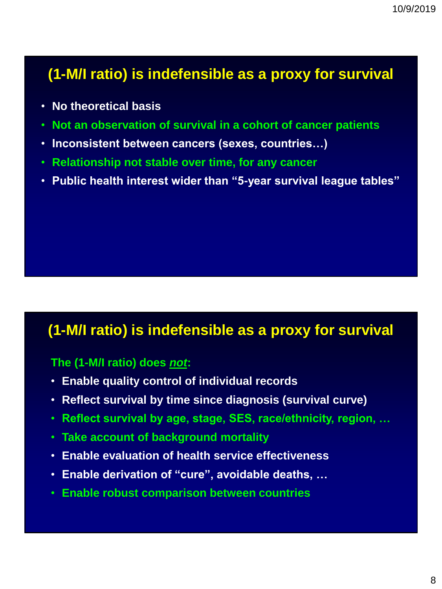# **(1-M/I ratio) is indefensible as a proxy for survival**

- **No theoretical basis**
- **Not an observation of survival in a cohort of cancer patients**
- **Inconsistent between cancers (sexes, countries…)**
- **Relationship not stable over time, for any cancer**
- **Public health interest wider than "5-year survival league tables"**

## **(1-M/I ratio) is indefensible as a proxy for survival**

#### **The (1-M/I ratio) does** *not***:**

- **Enable quality control of individual records**
- **Reflect survival by time since diagnosis (survival curve)**
- **Reflect survival by age, stage, SES, race/ethnicity, region, …**
- **Take account of background mortality**
- **Enable evaluation of health service effectiveness**
- **Enable derivation of "cure", avoidable deaths, …**
- **Enable robust comparison between countries**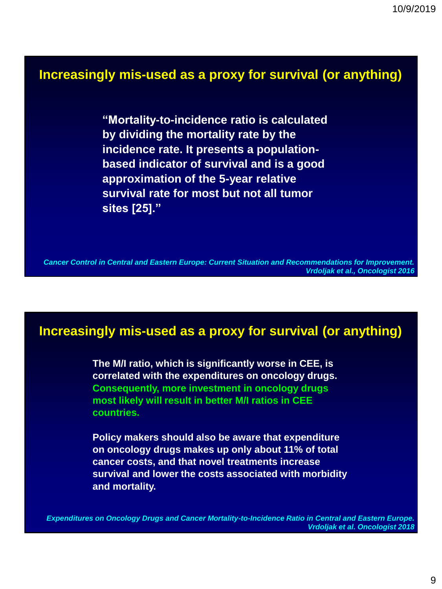## **Increasingly mis-used as a proxy for survival (or anything)**

**"Mortality-to-incidence ratio is calculated by dividing the mortality rate by the incidence rate. It presents a populationbased indicator of survival and is a good approximation of the 5-year relative survival rate for most but not all tumor sites [25]."**

*Cancer Control in Central and Eastern Europe: Current Situation and Recommendations for Improvement. Vrdoljak et al., Oncologist 2016*

### **Increasingly mis-used as a proxy for survival (or anything)**

**The M/I ratio, which is significantly worse in CEE, is correlated with the expenditures on oncology drugs. Consequently, more investment in oncology drugs most likely will result in better M/I ratios in CEE countries.** 

**Policy makers should also be aware that expenditure on oncology drugs makes up only about 11% of total cancer costs, and that novel treatments increase survival and lower the costs associated with morbidity and mortality.**

*Expenditures on Oncology Drugs and Cancer Mortality-to-Incidence Ratio in Central and Eastern Europe. Vrdoljak et al. Oncologist 2018*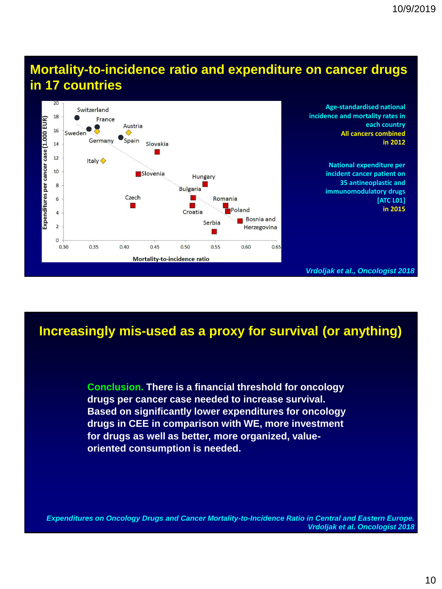## **Mortality-to-incidence ratio and expenditure on cancer drugs in 17 countries**



## **Increasingly mis-used as a proxy for survival (or anything)**

**Conclusion. There is a financial threshold for oncology drugs per cancer case needed to increase survival. Based on significantly lower expenditures for oncology drugs in CEE in comparison with WE, more investment for drugs as well as better, more organized, valueoriented consumption is needed.**

*Expenditures on Oncology Drugs and Cancer Mortality-to-Incidence Ratio in Central and Eastern Europe. Vrdoljak et al. Oncologist 2018*